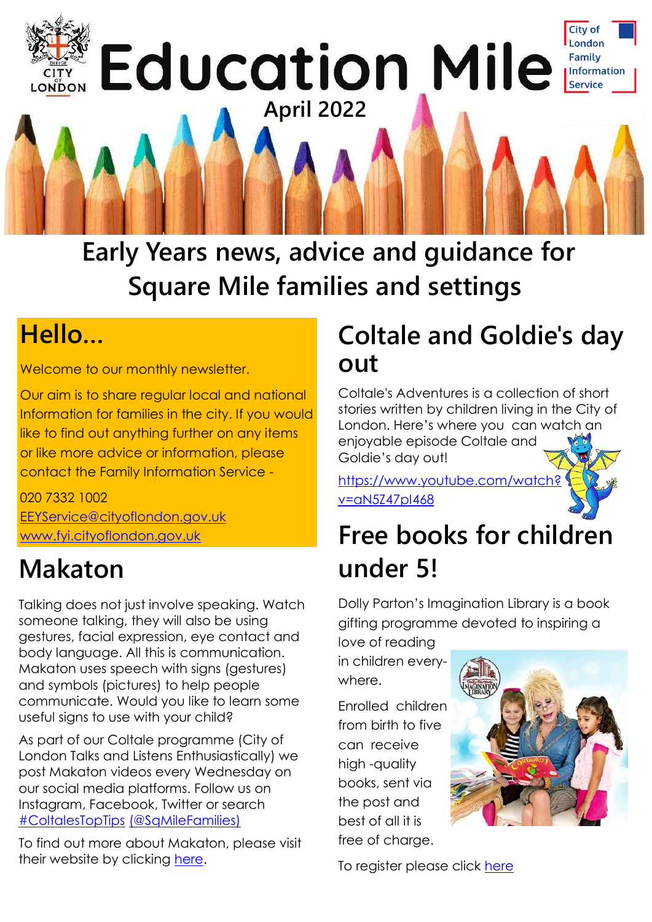

**Early Years news, advice and guidance for Square Mile families and settings**

### **Hello…**

Welcome to our monthly newsletter.

Our aim is to share regular local and national Information for families in the city. If you would like to find out anything further on any items or like more advice or information, please contact the Family Information Service -

020 7332 1002 [EEYService@cityoflondon.gov.uk](mailto:EEYService@cityoflondon.gov.uk) [www.fyi.cityoflondon.gov.uk](http://www.fyi.cityoflondon.gov.uk)

## **Makaton**

Talking does not just involve speaking. Watch someone talking, they will also be using gestures, facial expression, eye contact and body language. All this is communication. Makaton uses speech with sians (gestures) and symbols (pictures) to help people communicate. Would you like to learn some useful signs to use with your child?

As part of our Coltale programme (City of London Talks and Listens Enthusiastically) we post Makaton videos every Wednesday on our social media platforms. Follow us on Instagram, Facebook, Twitter or search [#ColtalesTopTips](https://twitter.com/hashtag/ColtalesTopTips?src=hashtag_click) [\(@SqMileFamilies\)](https://twitter.com/sqmilefamilies)

To find out more about Makaton, please visit their website by clicking [here.](https://makaton.org/)

### **Coltale and Goldie's day out**

Coltale's Adventures is a collection of short stories written by children living in the City of London. Here's where you can watch an enjoyable episode Coltale and Goldie's day out!

[https://www.youtube.com/watch?](https://www.youtube.com/watch?v=aN5Z47pI468) [v=aN5Z47pI468](https://www.youtube.com/watch?v=aN5Z47pI468)

### **Free books for children under 5!**

Dolly Parton's Imagination Library is a book gifting programme devoted to inspiring a

love of reading in children everywhere.

Enrolled children from birth to five can receive high -quality books, sent via the post and best of all it is free of charge.



To register please click [here](https://www.fis.cityoflondon.gov.uk/education-and-schools/early-years-0-5-education/dpil)